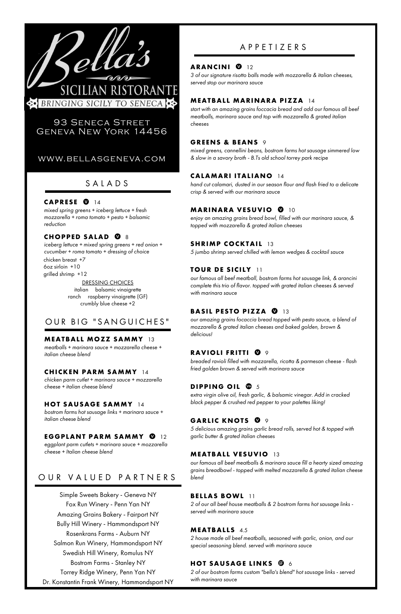*mixed spring greens + iceberg lettuce + fresh mozzarella + roma tomato + pesto + balsamic reduction*

# **CHOPPED SALAD @** 8

# S A L A D S

## CAPRESE<sup>Q</sup> 14

# A P P E T I Z E R S

## **ARANCINI 0** 12

*3 of our signature risotto balls made with mozzarella & italian cheeses, served stop our marinara sauce*

# **MEATBAL L MARINARA PIZZA** 14

*start with an amazing grains foccacia bread and add our famous all beef meatballs, marinara sauce and top with mozzarella & grated italian cheeses*

## **GREENS & BEANS** 9

*mixed greens, cannellini beans, bostrom farms hot sausage simmered low & slow in a savory broth - B.Ts old school torrey park recipe*

# **CALAMARI I TAL IANO** 14

*hand cut calamari, dusted in our season flour and flash fried to a delicate crisp & served with our marinara sauce*

# **MARINARA VESUVIO** 10

*enjoy an amazing grains bread bowl, filled with our marinara sauce, & topped with mozzarella & grated italian cheeses*

### **SHRIMP COCKTAIL** 13

*5 jumbo shrimp served chilled with lemon wedges & cocktail sauce*

# **TOUR DE SICI LY** 11

*our famous all beef meatball, bostrom farms hot sausage link, & arancini complete this trio of flavor. topped with grated italian cheeses & served with marinara sauce*

# **BASIL PESTO PIZZA @ 13**

*iceberg lettuce + mixed spring greens + red onion + cucumber + roma tomato + dressing of choice* chicken breast +7 6oz sirloin +10 grilled shrimp +12 DRESSING CHOICES

> *our amazing grains focaccia bread topped with pesto sauce, a blend of mozzarella & grated italian cheeses and baked golden, brown & delicious!*

# **RAVIOLI FRITTI 0 9**

*breaded ravioli filled with mozzarella, ricotta & parmesan cheese - flash fried golden brown & served with marinara sauce*

# **DIPPING OIL @ 5**

*extra virgin olive oil, fresh garlic, & balsamic vinegar. Add in cracked black pepper & crushed red pepper to your palettes liking!*

# **GARLIC KNOTS 0 9**

*5 delicious amazing grains garlic bread rolls, served hot & topped with garlic butter & grated italian cheeses*

# **MEATBAL L VESUVIO** 13

*our famous all beef meatballs & marinara sauce fill a hearty sized amazing grains breadbowl - topped with melted mozzarella & grated italian cheese blend*

# **BEL LAS BOWL** 11

*2 of our all beef house meatballs & 2 bostrom farms hot sausage links served with marinara sauce*

## **MEATBALLS** 4.5

*2 house made all beef meatballs, seasoned with garlic, onion, and our special seasoning blend. served with marinara sauce*

# **HOT SAUSAGE LINKS**  $\mathbf{\Theta}$  **6**

*2 of our bostrom farms custom "bella's blend" hot sausage links - served with marinara sauce*



# 93 Seneca Street Geneva New York 14456

# www.bellasgeneva.com

italian balsamic vinaigrette ranch raspberry vinaigrette (GF) crumbly blue cheese +2

# OUR BIG "SANGUICHES"

Simple Sweets Bakery - Geneva NY Fox Run Winery - Penn Yan NY Amazing Grains Bakery - Fairport NY Bully Hill Winery - Hammondsport NY Rosenkrans Farms - Auburn NY Salmon Run Winery, Hammondsport NY Swedish Hill Winery, Romulus NY Bostrom Farms - Stanley NY Torrey Ridge Winery, Penn Yan NY Dr. Konstantin Frank Winery, Hammondsport NY

#### **MEATBAL L MOZZ SAMMY** 13

*meatballs + marinara sauce + mozzarella cheese + italian cheese blend*

### **CHICKEN PARM SAMMY** 14

*chicken parm cutlet + marinara sauce + mozzarella cheese + italian cheese blend*

### **HOT SAUSAGE SAMMY** 14

*bostrom farms hot sausage links + marinara sauce + italian cheese blend*

# **EGGPLANT PARM SAMMY <sup>0</sup>12**

*eggplant parm cutlets + marinara sauce + mozzarella cheese + Italian cheese blend*

# OUR VALUED PARTNERS